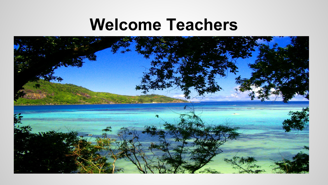#### **Welcome Teachers**

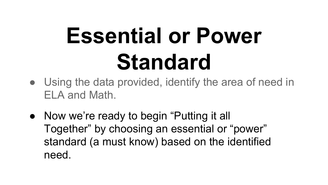# **Essential or Power Standard**

- Using the data provided, identify the area of need in ELA and Math.
- Now we're ready to begin "Putting it all Together" by choosing an essential or "power" standard (a must know) based on the identified need.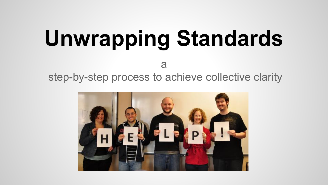# **Unwrapping Standards**

a

step-by-step process to achieve collective clarity

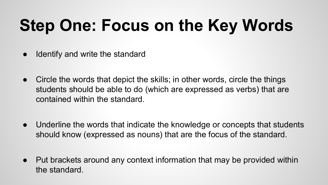### **Step One: Focus on the Key Words**

- Identify and write the standard
- Circle the words that depict the skills; in other words, circle the things students should be able to do (which are expressed as verbs) that are contained within the standard.
- Underline the words that indicate the knowledge or concepts that students should know (expressed as nouns) that are the focus of the standard.
- Put brackets around any context information that may be provided within the standard.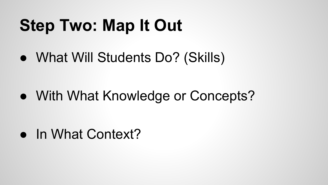### **Step Two: Map It Out**

• What Will Students Do? (Skills)

• With What Knowledge or Concepts?

• In What Context?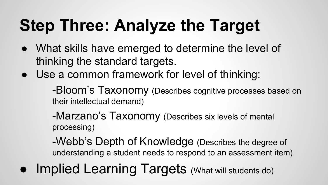#### **Step Three: Analyze the Target**

- What skills have emerged to determine the level of thinking the standard targets.
- Use a common framework for level of thinking:

-Bloom's Taxonomy (Describes cognitive processes based on their intellectual demand)

-Marzano's Taxonomy (Describes six levels of mental processing)

-Webb's Depth of Knowledge (Describes the degree of understanding a student needs to respond to an assessment item)

● Implied Learning Targets (What will students do)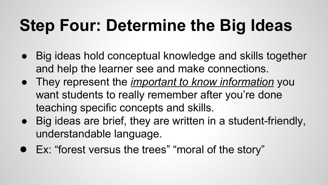#### **Step Four: Determine the Big Ideas**

- Big ideas hold conceptual knowledge and skills together and help the learner see and make connections.
- They represent the *important to know information* you want students to really remember after you're done teaching specific concepts and skills.
- Big ideas are brief, they are written in a student-friendly, understandable language.
- Ex: "forest versus the trees" "moral of the story"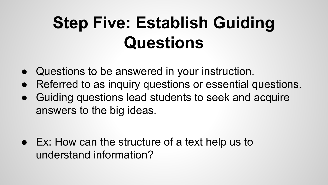#### **Step Five: Establish Guiding Questions**

- Questions to be answered in your instruction.
- Referred to as inquiry questions or essential questions.
- Guiding questions lead students to seek and acquire answers to the big ideas.

● Ex: How can the structure of a text help us to understand information?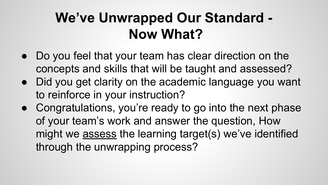#### **We've Unwrapped Our Standard - Now What?**

- Do you feel that your team has clear direction on the concepts and skills that will be taught and assessed?
- Did you get clarity on the academic language you want to reinforce in your instruction?
- Congratulations, you're ready to go into the next phase of your team's work and answer the question, How might we assess the learning target(s) we've identified through the unwrapping process?